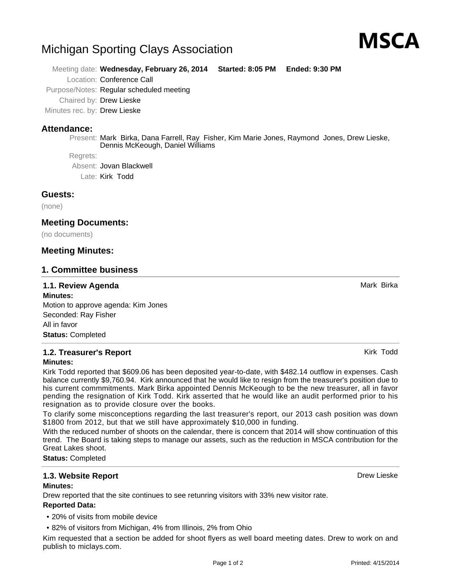# Michigan Sporting Clays Association

Meeting date: **Wednesday, February 26, 2014 Started: 8:05 PM Ended: 9:30 PM**

Location: Conference Call

Purpose/Notes: Regular scheduled meeting

Chaired by: Drew Lieske

Minutes rec. by: Drew Lieske

## **Attendance:**

Present: Mark Birka, Dana Farrell, Ray Fisher, Kim Marie Jones, Raymond Jones, Drew Lieske, Dennis McKeough, Daniel Williams

Regrets:

Absent: Jovan Blackwell

Late: Kirk Todd

#### **Guests:**

(none)

#### **Meeting Documents:**

(no documents)

#### **Meeting Minutes:**

#### **1. Committee business**

#### **1.1. Review Agenda** Mark Birka Birka Agenda Mark Birka Agent Mark Birka Agent Mark Birka Agent Mark Birka Agent

**Minutes:** Motion to approve agenda: Kim Jones Seconded: Ray Fisher All in favor **Status:** Completed

#### **1.2. Treasurer's Report Kirk Todd Kirk Todd Kirk Todd Kirk Todd Kirk Todd Minutes:**

Kirk Todd reported that \$609.06 has been deposited year-to-date, with \$482.14 outflow in expenses. Cash balance currently \$9,760.94. Kirk announced that he would like to resign from the treasurer's position due to his current commmitments. Mark Birka appointed Dennis McKeough to be the new treasurer, all in favor pending the resignation of Kirk Todd. Kirk asserted that he would like an audit performed prior to his resignation as to provide closure over the books.

To clarify some misconceptions regarding the last treasurer's report, our 2013 cash position was down \$1800 from 2012, but that we still have approximately \$10,000 in funding.

With the reduced number of shoots on the calendar, there is concern that 2014 will show continuation of this trend. The Board is taking steps to manage our assets, such as the reduction in MSCA contribution for the Great Lakes shoot.

**Status:** Completed

## **1.3. Website Report** Drew Lieske

#### **Minutes:**

Drew reported that the site continues to see retunring visitors with 33% new visitor rate.

#### **Reported Data:**

- 20% of visits from mobile device
- 82% of visitors from Michigan, 4% from Illinois, 2% from Ohio

Kim requested that a section be added for shoot flyers as well board meeting dates. Drew to work on and publish to miclays.com.



MSCA